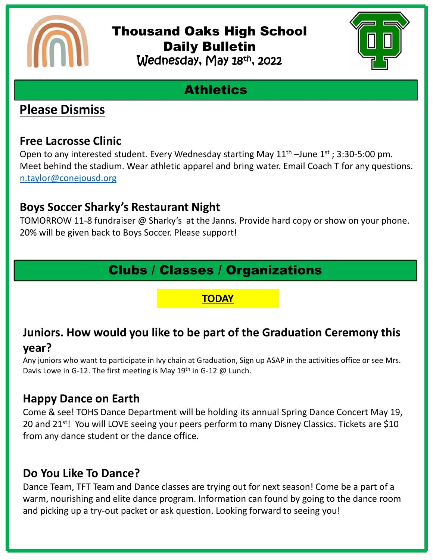

### Thousand Oaks High School Daily Bulletin Wednesday, May 18th, 2022



# **Athletics**

### **Please Dismiss**

#### **Free Lacrosse Clinic**

Open to any interested student. Every Wednesday starting May  $11<sup>th</sup>$  –June  $1<sup>st</sup>$ ; 3:30-5:00 pm. Meet behind the stadium. Wear athletic apparel and bring water. Email Coach T for any questions. [n.taylor@conejousd.org](mailto:n.taylor@conejousd.org)

### **Boys Soccer Sharky's Restaurant Night**

TOMORROW 11-8 fundraiser @ Sharky's at the Janns. Provide hard copy or show on your phone. 20% will be given back to Boys Soccer. Please support!

# Clubs / Classes / Organizations

#### **TODAY**

### **Juniors. How would you like to be part of the Graduation Ceremony this year?**

Any juniors who want to participate in Ivy chain at Graduation, Sign up ASAP in the activities office or see Mrs. Davis Lowe in G-12. The first meeting is May 19<sup>th</sup> in G-12 @ Lunch.

#### **Happy Dance on Earth**

Come & see! TOHS Dance Department will be holding its annual Spring Dance Concert May 19, 20 and 21<sup>st</sup>! You will LOVE seeing your peers perform to many Disney Classics. Tickets are \$10 from any dance student or the dance office.

### **Do You Like To Dance?**

Dance Team, TFT Team and Dance classes are trying out for next season! Come be a part of a warm, nourishing and elite dance program. Information can found by going to the dance room and picking up a try-out packet or ask question. Looking forward to seeing you!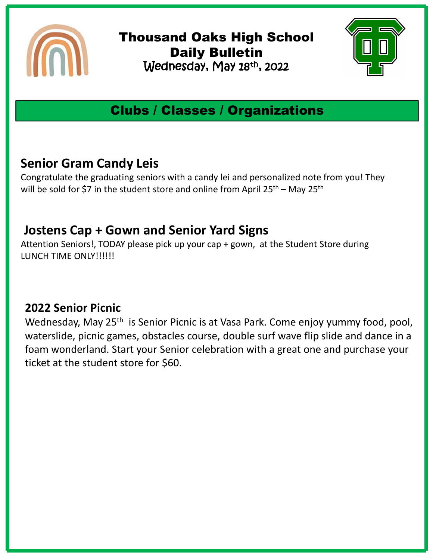

Thousand Oaks High School Daily Bulletin Wednesday, May 18th , 2022



# Clubs / Classes / Organizations

## **Senior Gram Candy Leis**

Congratulate the graduating seniors with a candy lei and personalized note from you! They will be sold for \$7 in the student store and online from April  $25^{th}$  – May  $25^{th}$ 

### **Jostens Cap + Gown and Senior Yard Signs**

Attention Seniors!, TODAY please pick up your cap + gown, at the Student Store during LUNCH TIME ONLY!!!!!!

### **2022 Senior Picnic**

Wednesday, May 25<sup>th</sup> is Senior Picnic is at Vasa Park. Come enjoy yummy food, pool, waterslide, picnic games, obstacles course, double surf wave flip slide and dance in a foam wonderland. Start your Senior celebration with a great one and purchase your ticket at the student store for \$60.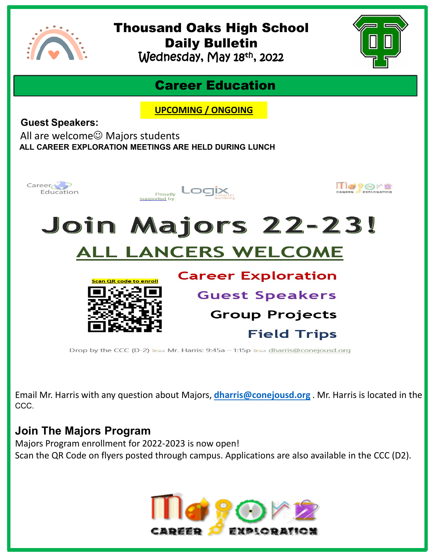

# Thousand Oaks High School Daily Bulletin

Wednesday, May 18th , 2022



### Career Education

**UPCOMING / ONGOING**

**Guest Speakers:**

All are welcome $\odot$  Majors students **ALL CAREER EXPLORATION MEETINGS ARE HELD DURING LUNCH** 



Drop by the CCC (D-2) Frank Mr. Harris: 9:45a - 1:15p Frank charris@conejousd.org

Email Mr. Harris with any question about Majors, **[dharris@conejousd.org](mailto:dharris@conejousd.org)** . Mr. Harris is located in the CCC.

#### **Join The Majors Program**

Majors Program enrollment for 2022-2023 is now open! Scan the QR Code on flyers posted through campus. Applications are also available in the CCC (D2).